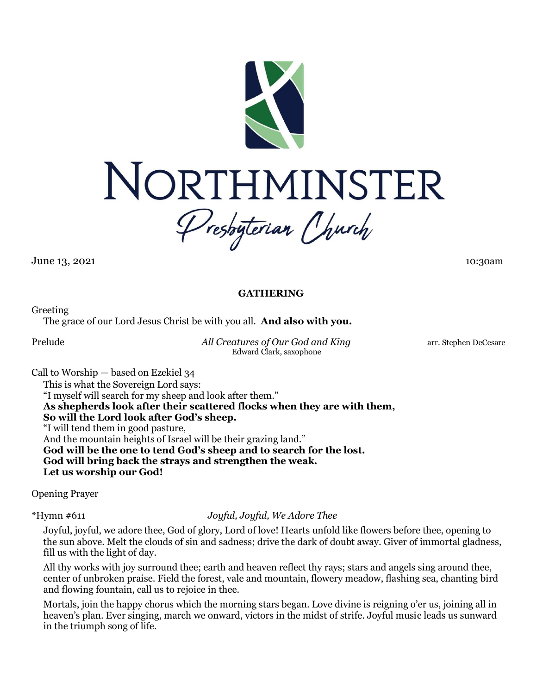

**June 13, 2021** 10:30am

# **GATHERING**

Greeting

The grace of our Lord Jesus Christ be with you all. **And also with you.**

Prelude *All Creatures of Our God and King* arr. Stephen DeCesare Edward Clark, saxophone

Call to Worship — based on Ezekiel 34 This is what the Sovereign Lord says: "I myself will search for my sheep and look after them." **As shepherds look after their scattered flocks when they are with them, So will the Lord look after God's sheep.** "I will tend them in good pasture, And the mountain heights of Israel will be their grazing land." **God will be the one to tend God's sheep and to search for the lost. God will bring back the strays and strengthen the weak. Let us worship our God!**

Opening Prayer

\*Hymn #611 *Joyful, Joyful, We Adore Thee*

Joyful, joyful, we adore thee, God of glory, Lord of love! Hearts unfold like flowers before thee, opening to the sun above. Melt the clouds of sin and sadness; drive the dark of doubt away. Giver of immortal gladness, fill us with the light of day.

All thy works with joy surround thee; earth and heaven reflect thy rays; stars and angels sing around thee, center of unbroken praise. Field the forest, vale and mountain, flowery meadow, flashing sea, chanting bird and flowing fountain, call us to rejoice in thee.

Mortals, join the happy chorus which the morning stars began. Love divine is reigning o'er us, joining all in heaven's plan. Ever singing, march we onward, victors in the midst of strife. Joyful music leads us sunward in the triumph song of life.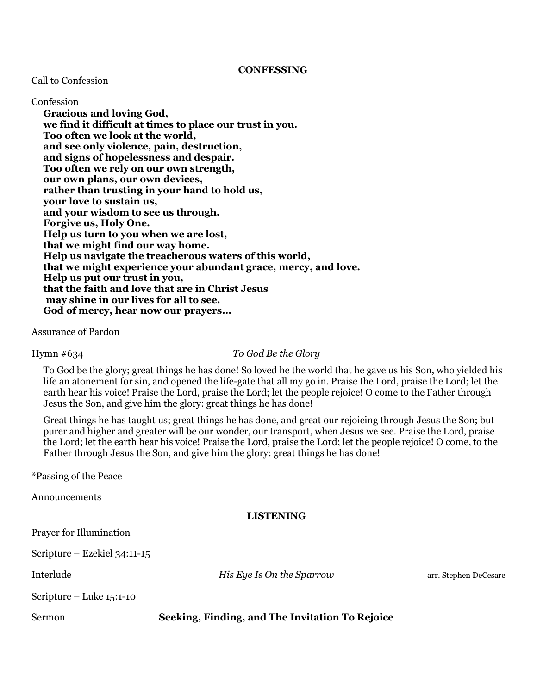### **CONFESSING**

#### Call to Confession

Confession **Gracious and loving God, we find it difficult at times to place our trust in you. Too often we look at the world, and see only violence, pain, destruction, and signs of hopelessness and despair. Too often we rely on our own strength, our own plans, our own devices, rather than trusting in your hand to hold us, your love to sustain us, and your wisdom to see us through. Forgive us, Holy One. Help us turn to you when we are lost, that we might find our way home. Help us navigate the treacherous waters of this world, that we might experience your abundant grace, mercy, and love. Help us put our trust in you, that the faith and love that are in Christ Jesus may shine in our lives for all to see. God of mercy, hear now our prayers...**

Assurance of Pardon

#### Hymn #634 *To God Be the Glory*

To God be the glory; great things he has done! So loved he the world that he gave us his Son, who yielded his life an atonement for sin, and opened the life-gate that all my go in. Praise the Lord, praise the Lord; let the earth hear his voice! Praise the Lord, praise the Lord; let the people rejoice! O come to the Father through Jesus the Son, and give him the glory: great things he has done!

Great things he has taught us; great things he has done, and great our rejoicing through Jesus the Son; but purer and higher and greater will be our wonder, our transport, when Jesus we see. Praise the Lord, praise the Lord; let the earth hear his voice! Praise the Lord, praise the Lord; let the people rejoice! O come, to the Father through Jesus the Son, and give him the glory: great things he has done!

\*Passing of the Peace

Announcements

### **LISTENING**

|  | Prayer for Illumination |
|--|-------------------------|
|--|-------------------------|

Scripture – Ezekiel 34:11-15

**Interlude** *His Eye Is On the Sparrow* arr. Stephen DeCesare

Scripture – Luke 15:1-10

Sermon **Seeking, Finding, and The Invitation To Rejoice**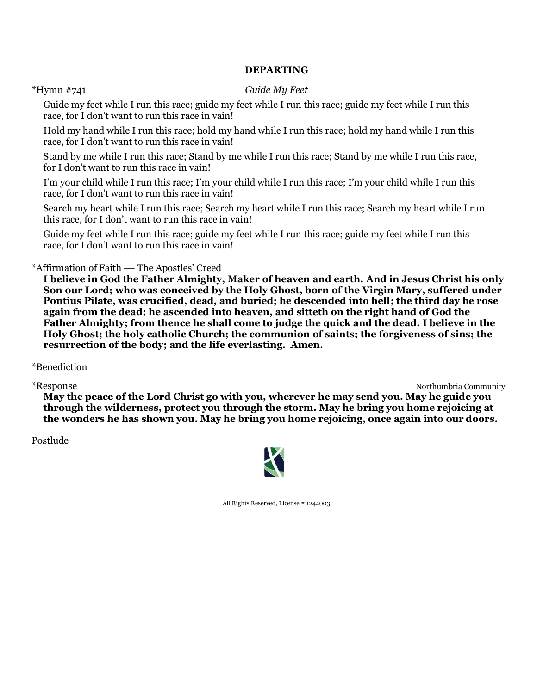# **DEPARTING**

### \*Hymn #741 *Guide My Feet*

Guide my feet while I run this race; guide my feet while I run this race; guide my feet while I run this race, for I don't want to run this race in vain!

Hold my hand while I run this race; hold my hand while I run this race; hold my hand while I run this race, for I don't want to run this race in vain!

Stand by me while I run this race; Stand by me while I run this race; Stand by me while I run this race, for I don't want to run this race in vain!

I'm your child while I run this race; I'm your child while I run this race; I'm your child while I run this race, for I don't want to run this race in vain!

Search my heart while I run this race; Search my heart while I run this race; Search my heart while I run this race, for I don't want to run this race in vain!

Guide my feet while I run this race; guide my feet while I run this race; guide my feet while I run this race, for I don't want to run this race in vain!

\*Affirmation of Faith — The Apostles' Creed

**I believe in God the Father Almighty, Maker of heaven and earth. And in Jesus Christ his only Son our Lord; who was conceived by the Holy Ghost, born of the Virgin Mary, suffered under Pontius Pilate, was crucified, dead, and buried; he descended into hell; the third day he rose again from the dead; he ascended into heaven, and sitteth on the right hand of God the Father Almighty; from thence he shall come to judge the quick and the dead. I believe in the Holy Ghost; the holy catholic Church; the communion of saints; the forgiveness of sins; the resurrection of the body; and the life everlasting. Amen.**

\*Benediction

\*Response Northumbria Community

**May the peace of the Lord Christ go with you, wherever he may send you. May he guide you through the wilderness, protect you through the storm. May he bring you home rejoicing at the wonders he has shown you. May he bring you home rejoicing, once again into our doors.**

Postlude



All Rights Reserved, License # 1244003